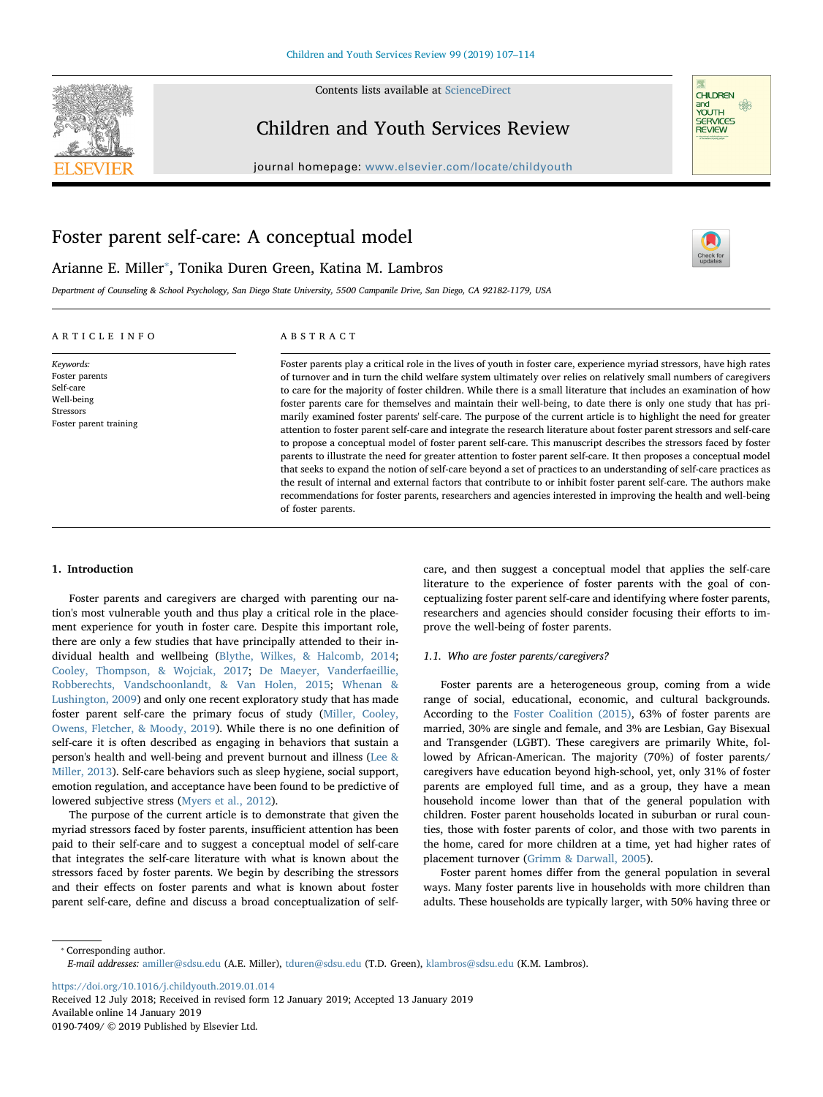

Contents lists available at [ScienceDirect](http://www.sciencedirect.com/science/journal/01907409)

# Children and Youth Services Review





 $\frac{N}{2}$ 

# Foster parent self-care: A conceptual model

Arianne E. Miller<sup>\*</sup>, Tonika Duren Green, Katina M. Lambros

Department of Counseling & School Psychology, San Diego State University, 5500 Campanile Drive, San Diego, CA 92182-1179, USA

# ARTICLE INFO

Keywords: Foster parents Self-care Well-being Stressors Foster parent training

# ABSTRACT

Foster parents play a critical role in the lives of youth in foster care, experience myriad stressors, have high rates of turnover and in turn the child welfare system ultimately over relies on relatively small numbers of caregivers to care for the majority of foster children. While there is a small literature that includes an examination of how foster parents care for themselves and maintain their well-being, to date there is only one study that has primarily examined foster parents' self-care. The purpose of the current article is to highlight the need for greater attention to foster parent self-care and integrate the research literature about foster parent stressors and self-care to propose a conceptual model of foster parent self-care. This manuscript describes the stressors faced by foster parents to illustrate the need for greater attention to foster parent self-care. It then proposes a conceptual model that seeks to expand the notion of self-care beyond a set of practices to an understanding of self-care practices as the result of internal and external factors that contribute to or inhibit foster parent self-care. The authors make recommendations for foster parents, researchers and agencies interested in improving the health and well-being of foster parents.

# 1. Introduction

Foster parents and caregivers are charged with parenting our nation's most vulnerable youth and thus play a critical role in the placement experience for youth in foster care. Despite this important role, there are only a few studies that have principally attended to their individual health and wellbeing ([Blythe, Wilkes, & Halcomb, 2014](#page-5-0); [Cooley, Thompson, & Wojciak, 2017](#page-6-0); [De Maeyer, Vanderfaeillie,](#page-6-1) [Robberechts, Vandschoonlandt, & Van Holen, 2015](#page-6-1); [Whenan &](#page-7-0) [Lushington, 2009](#page-7-0)) and only one recent exploratory study that has made foster parent self-care the primary focus of study [\(Miller, Cooley,](#page-6-2) [Owens, Fletcher, & Moody, 2019\)](#page-6-2). While there is no one definition of self-care it is often described as engaging in behaviors that sustain a person's health and well-being and prevent burnout and illness [\(Lee &](#page-6-3) [Miller, 2013](#page-6-3)). Self-care behaviors such as sleep hygiene, social support, emotion regulation, and acceptance have been found to be predictive of lowered subjective stress ([Myers et al., 2012](#page-6-4)).

The purpose of the current article is to demonstrate that given the myriad stressors faced by foster parents, insufficient attention has been paid to their self-care and to suggest a conceptual model of self-care that integrates the self-care literature with what is known about the stressors faced by foster parents. We begin by describing the stressors and their effects on foster parents and what is known about foster parent self-care, define and discuss a broad conceptualization of self-

care, and then suggest a conceptual model that applies the self-care literature to the experience of foster parents with the goal of conceptualizing foster parent self-care and identifying where foster parents, researchers and agencies should consider focusing their efforts to improve the well-being of foster parents.

#### 1.1. Who are foster parents/caregivers?

Foster parents are a heterogeneous group, coming from a wide range of social, educational, economic, and cultural backgrounds. According to the [Foster Coalition \(2015\)](#page-6-5), 63% of foster parents are married, 30% are single and female, and 3% are Lesbian, Gay Bisexual and Transgender (LGBT). These caregivers are primarily White, followed by African-American. The majority (70%) of foster parents/ caregivers have education beyond high-school, yet, only 31% of foster parents are employed full time, and as a group, they have a mean household income lower than that of the general population with children. Foster parent households located in suburban or rural counties, those with foster parents of color, and those with two parents in the home, cared for more children at a time, yet had higher rates of placement turnover ([Grimm & Darwall, 2005\)](#page-6-6).

Foster parent homes differ from the general population in several ways. Many foster parents live in households with more children than adults. These households are typically larger, with 50% having three or

<span id="page-0-0"></span>⁎ Corresponding author.

<https://doi.org/10.1016/j.childyouth.2019.01.014>

Received 12 July 2018; Received in revised form 12 January 2019; Accepted 13 January 2019 Available online 14 January 2019 0190-7409/ © 2019 Published by Elsevier Ltd.

E-mail addresses: [amiller@sdsu.edu](mailto:amiller@sdsu.edu) (A.E. Miller), [tduren@sdsu.edu](mailto:tduren@sdsu.edu) (T.D. Green), [klambros@sdsu.edu](mailto:klambros@sdsu.edu) (K.M. Lambros).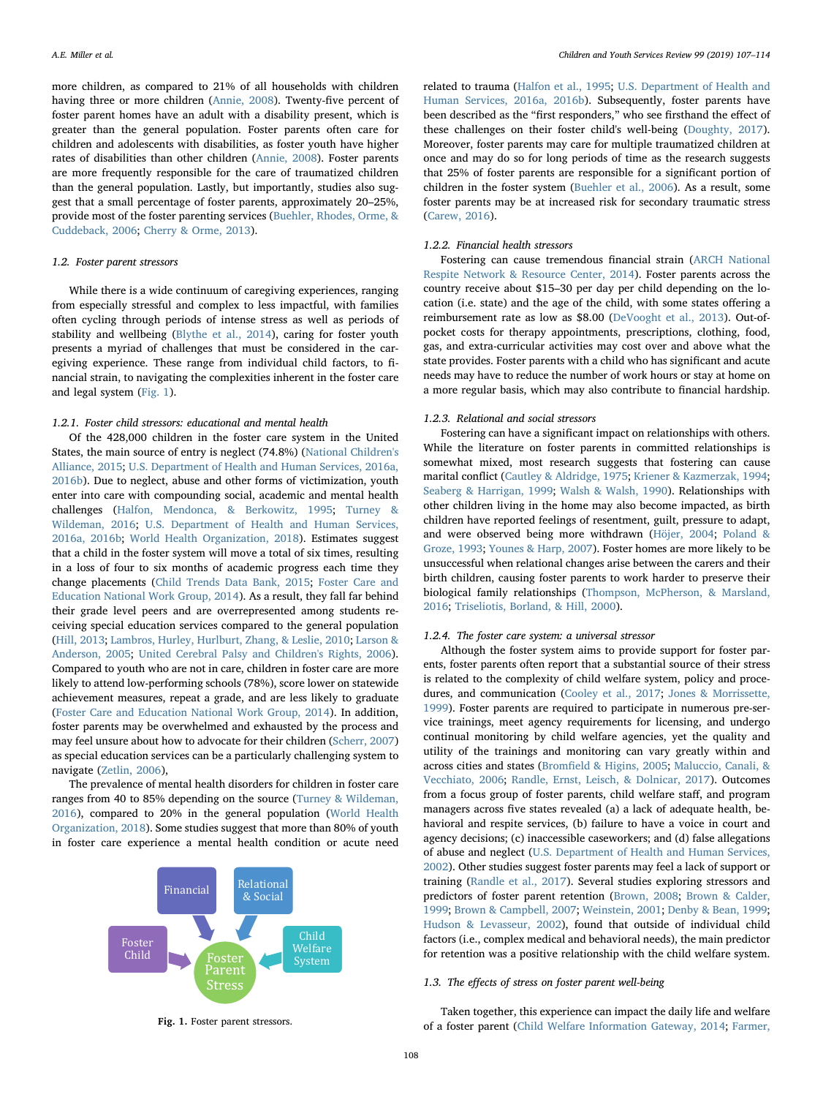more children, as compared to 21% of all households with children having three or more children [\(Annie, 2008](#page-5-1)). Twenty-five percent of foster parent homes have an adult with a disability present, which is greater than the general population. Foster parents often care for children and adolescents with disabilities, as foster youth have higher rates of disabilities than other children [\(Annie, 2008](#page-5-1)). Foster parents are more frequently responsible for the care of traumatized children than the general population. Lastly, but importantly, studies also suggest that a small percentage of foster parents, approximately 20–25%, provide most of the foster parenting services ([Buehler, Rhodes, Orme, &](#page-6-7) [Cuddeback, 2006](#page-6-7); [Cherry & Orme, 2013](#page-6-8)).

## 1.2. Foster parent stressors

While there is a wide continuum of caregiving experiences, ranging from especially stressful and complex to less impactful, with families often cycling through periods of intense stress as well as periods of stability and wellbeing ([Blythe et al., 2014](#page-5-0)), caring for foster youth presents a myriad of challenges that must be considered in the caregiving experience. These range from individual child factors, to financial strain, to navigating the complexities inherent in the foster care and legal system ([Fig. 1\)](#page-1-0).

#### 1.2.1. Foster child stressors: educational and mental health

Of the 428,000 children in the foster care system in the United States, the main source of entry is neglect (74.8%) [\(National Children's](#page-6-9) [Alliance, 2015;](#page-6-9) [U.S. Department of Health and Human Services, 2016a,](#page-7-1) [2016b\)](#page-7-1). Due to neglect, abuse and other forms of victimization, youth enter into care with compounding social, academic and mental health challenges ([Halfon, Mendonca, & Berkowitz, 1995;](#page-6-10) [Turney &](#page-7-2) [Wildeman, 2016](#page-7-2); [U.S. Department of Health and Human Services,](#page-7-1) [2016a, 2016b;](#page-7-1) [World Health Organization, 2018\)](#page-7-3). Estimates suggest that a child in the foster system will move a total of six times, resulting in a loss of four to six months of academic progress each time they change placements ([Child Trends Data Bank, 2015;](#page-6-11) [Foster Care and](#page-6-12) [Education National Work Group, 2014](#page-6-12)). As a result, they fall far behind their grade level peers and are overrepresented among students receiving special education services compared to the general population ([Hill, 2013;](#page-6-13) [Lambros, Hurley, Hurlburt, Zhang, & Leslie, 2010](#page-6-14); [Larson &](#page-6-15) [Anderson, 2005;](#page-6-15) [United Cerebral Palsy and Children's Rights, 2006](#page-7-4)). Compared to youth who are not in care, children in foster care are more likely to attend low-performing schools (78%), score lower on statewide achievement measures, repeat a grade, and are less likely to graduate ([Foster Care and Education National Work Group, 2014\)](#page-6-12). In addition, foster parents may be overwhelmed and exhausted by the process and may feel unsure about how to advocate for their children ([Scherr, 2007\)](#page-6-16) as special education services can be a particularly challenging system to navigate [\(Zetlin, 2006\)](#page-7-5),

The prevalence of mental health disorders for children in foster care ranges from 40 to 85% depending on the source ([Turney & Wildeman,](#page-7-2) [2016\)](#page-7-2), compared to 20% in the general population ([World Health](#page-7-3) [Organization, 2018\)](#page-7-3). Some studies suggest that more than 80% of youth in foster care experience a mental health condition or acute need

<span id="page-1-0"></span>

Fig. 1. Foster parent stressors.

related to trauma ([Halfon et al., 1995](#page-6-10); [U.S. Department of Health and](#page-7-1) [Human Services, 2016a, 2016b](#page-7-1)). Subsequently, foster parents have been described as the "first responders," who see firsthand the effect of these challenges on their foster child's well-being ([Doughty, 2017](#page-6-17)). Moreover, foster parents may care for multiple traumatized children at once and may do so for long periods of time as the research suggests that 25% of foster parents are responsible for a significant portion of children in the foster system ([Buehler et al., 2006\)](#page-6-7). As a result, some foster parents may be at increased risk for secondary traumatic stress ([Carew, 2016\)](#page-6-18).

# 1.2.2. Financial health stressors

Fostering can cause tremendous financial strain [\(ARCH National](#page-5-2) [Respite Network & Resource Center, 2014](#page-5-2)). Foster parents across the country receive about \$15–30 per day per child depending on the location (i.e. state) and the age of the child, with some states offering a reimbursement rate as low as \$8.00 ([DeVooght et al., 2013](#page-6-19)). Out-ofpocket costs for therapy appointments, prescriptions, clothing, food, gas, and extra-curricular activities may cost over and above what the state provides. Foster parents with a child who has significant and acute needs may have to reduce the number of work hours or stay at home on a more regular basis, which may also contribute to financial hardship.

## 1.2.3. Relational and social stressors

Fostering can have a significant impact on relationships with others. While the literature on foster parents in committed relationships is somewhat mixed, most research suggests that fostering can cause marital conflict ([Cautley & Aldridge, 1975;](#page-6-20) [Kriener & Kazmerzak, 1994](#page-6-21); [Seaberg & Harrigan, 1999](#page-7-6); [Walsh & Walsh, 1990](#page-7-7)). Relationships with other children living in the home may also become impacted, as birth children have reported feelings of resentment, guilt, pressure to adapt, and were observed being more withdrawn ([Höjer, 2004;](#page-6-22) [Poland &](#page-6-23) [Groze, 1993;](#page-6-23) [Younes & Harp, 2007](#page-7-8)). Foster homes are more likely to be unsuccessful when relational changes arise between the carers and their birth children, causing foster parents to work harder to preserve their biological family relationships [\(Thompson, McPherson, & Marsland,](#page-7-9) [2016;](#page-7-9) [Triseliotis, Borland, & Hill, 2000\)](#page-7-10).

# 1.2.4. The foster care system: a universal stressor

Although the foster system aims to provide support for foster parents, foster parents often report that a substantial source of their stress is related to the complexity of child welfare system, policy and procedures, and communication ([Cooley et al., 2017](#page-6-0); [Jones & Morrissette,](#page-6-24) [1999\)](#page-6-24). Foster parents are required to participate in numerous pre-service trainings, meet agency requirements for licensing, and undergo continual monitoring by child welfare agencies, yet the quality and utility of the trainings and monitoring can vary greatly within and across cities and states (Bromfi[eld & Higins, 2005](#page-6-25); [Maluccio, Canali, &](#page-6-26) [Vecchiato, 2006;](#page-6-26) [Randle, Ernst, Leisch, & Dolnicar, 2017](#page-6-27)). Outcomes from a focus group of foster parents, child welfare staff, and program managers across five states revealed (a) a lack of adequate health, behavioral and respite services, (b) failure to have a voice in court and agency decisions; (c) inaccessible caseworkers; and (d) false allegations of abuse and neglect ([U.S. Department of Health and Human Services,](#page-7-11) [2002\)](#page-7-11). Other studies suggest foster parents may feel a lack of support or training ([Randle et al., 2017](#page-6-27)). Several studies exploring stressors and predictors of foster parent retention [\(Brown, 2008](#page-6-28); [Brown & Calder,](#page-6-29) [1999;](#page-6-29) [Brown & Campbell, 2007](#page-6-30); [Weinstein, 2001](#page-7-12); [Denby & Bean, 1999](#page-6-31); [Hudson & Levasseur, 2002](#page-6-32)), found that outside of individual child factors (i.e., complex medical and behavioral needs), the main predictor for retention was a positive relationship with the child welfare system.

#### 1.3. The effects of stress on foster parent well-being

Taken together, this experience can impact the daily life and welfare of a foster parent ([Child Welfare Information Gateway, 2014](#page-6-33); [Farmer,](#page-6-34)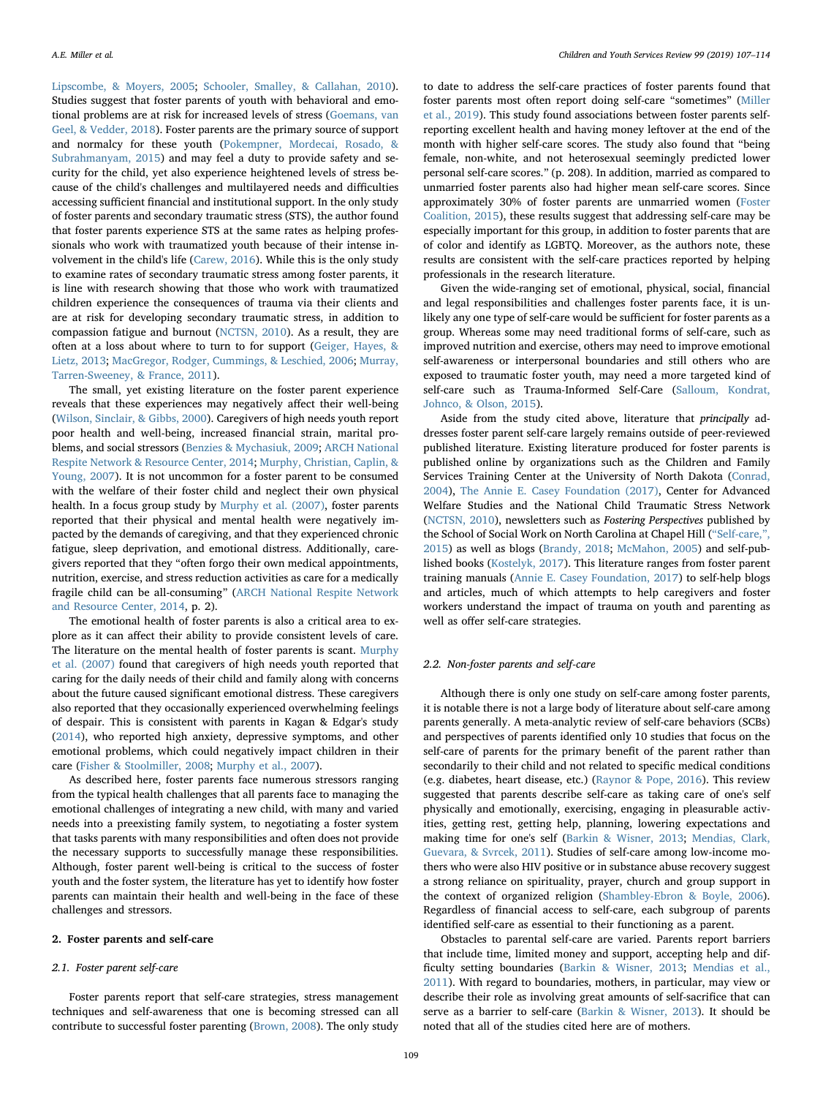[Lipscombe, & Moyers, 2005](#page-6-34); [Schooler, Smalley, & Callahan, 2010](#page-6-35)). Studies suggest that foster parents of youth with behavioral and emotional problems are at risk for increased levels of stress ([Goemans, van](#page-6-36) [Geel, & Vedder, 2018\)](#page-6-36). Foster parents are the primary source of support and normalcy for these youth [\(Pokempner, Mordecai, Rosado, &](#page-6-37) [Subrahmanyam, 2015](#page-6-37)) and may feel a duty to provide safety and security for the child, yet also experience heightened levels of stress because of the child's challenges and multilayered needs and difficulties accessing sufficient financial and institutional support. In the only study of foster parents and secondary traumatic stress (STS), the author found that foster parents experience STS at the same rates as helping professionals who work with traumatized youth because of their intense involvement in the child's life [\(Carew, 2016](#page-6-18)). While this is the only study to examine rates of secondary traumatic stress among foster parents, it is line with research showing that those who work with traumatized children experience the consequences of trauma via their clients and are at risk for developing secondary traumatic stress, in addition to compassion fatigue and burnout [\(NCTSN, 2010\)](#page-6-38). As a result, they are often at a loss about where to turn to for support ([Geiger, Hayes, &](#page-6-39) [Lietz, 2013;](#page-6-39) [MacGregor, Rodger, Cummings, & Leschied, 2006](#page-6-40); [Murray,](#page-6-41) [Tarren-Sweeney, & France, 2011](#page-6-41)).

The small, yet existing literature on the foster parent experience reveals that these experiences may negatively affect their well-being ([Wilson, Sinclair, & Gibbs, 2000\)](#page-7-13). Caregivers of high needs youth report poor health and well-being, increased financial strain, marital problems, and social stressors ([Benzies & Mychasiuk, 2009;](#page-5-3) [ARCH National](#page-5-2) [Respite Network & Resource Center, 2014;](#page-5-2) [Murphy, Christian, Caplin, &](#page-6-42) [Young, 2007](#page-6-42)). It is not uncommon for a foster parent to be consumed with the welfare of their foster child and neglect their own physical health. In a focus group study by [Murphy et al. \(2007\)](#page-6-42), foster parents reported that their physical and mental health were negatively impacted by the demands of caregiving, and that they experienced chronic fatigue, sleep deprivation, and emotional distress. Additionally, caregivers reported that they "often forgo their own medical appointments, nutrition, exercise, and stress reduction activities as care for a medically fragile child can be all-consuming" [\(ARCH National Respite Network](#page-5-2) [and Resource Center, 2014,](#page-5-2) p. 2).

The emotional health of foster parents is also a critical area to explore as it can affect their ability to provide consistent levels of care. The literature on the mental health of foster parents is scant. [Murphy](#page-6-42) [et al. \(2007\)](#page-6-42) found that caregivers of high needs youth reported that caring for the daily needs of their child and family along with concerns about the future caused significant emotional distress. These caregivers also reported that they occasionally experienced overwhelming feelings of despair. This is consistent with parents in Kagan & Edgar's study ([2014\)](#page-5-2), who reported high anxiety, depressive symptoms, and other emotional problems, which could negatively impact children in their care [\(Fisher & Stoolmiller, 2008](#page-6-43); [Murphy et al., 2007](#page-6-42)).

As described here, foster parents face numerous stressors ranging from the typical health challenges that all parents face to managing the emotional challenges of integrating a new child, with many and varied needs into a preexisting family system, to negotiating a foster system that tasks parents with many responsibilities and often does not provide the necessary supports to successfully manage these responsibilities. Although, foster parent well-being is critical to the success of foster youth and the foster system, the literature has yet to identify how foster parents can maintain their health and well-being in the face of these challenges and stressors.

# 2. Foster parents and self-care

#### 2.1. Foster parent self-care

Foster parents report that self-care strategies, stress management techniques and self-awareness that one is becoming stressed can all contribute to successful foster parenting ([Brown, 2008](#page-6-28)). The only study

to date to address the self-care practices of foster parents found that foster parents most often report doing self-care "sometimes" [\(Miller](#page-6-2) [et al., 2019\)](#page-6-2). This study found associations between foster parents selfreporting excellent health and having money leftover at the end of the month with higher self-care scores. The study also found that "being female, non-white, and not heterosexual seemingly predicted lower personal self-care scores." (p. 208). In addition, married as compared to unmarried foster parents also had higher mean self-care scores. Since approximately 30% of foster parents are unmarried women [\(Foster](#page-6-5) [Coalition, 2015](#page-6-5)), these results suggest that addressing self-care may be especially important for this group, in addition to foster parents that are of color and identify as LGBTQ. Moreover, as the authors note, these results are consistent with the self-care practices reported by helping professionals in the research literature.

Given the wide-ranging set of emotional, physical, social, financial and legal responsibilities and challenges foster parents face, it is unlikely any one type of self-care would be sufficient for foster parents as a group. Whereas some may need traditional forms of self-care, such as improved nutrition and exercise, others may need to improve emotional self-awareness or interpersonal boundaries and still others who are exposed to traumatic foster youth, may need a more targeted kind of self-care such as Trauma-Informed Self-Care ([Salloum, Kondrat,](#page-6-44) [Johnco, & Olson, 2015](#page-6-44)).

Aside from the study cited above, literature that principally addresses foster parent self-care largely remains outside of peer-reviewed published literature. Existing literature produced for foster parents is published online by organizations such as the Children and Family Services Training Center at the University of North Dakota ([Conrad,](#page-6-45) [2004\)](#page-6-45), [The Annie E. Casey Foundation \(2017\),](#page-5-4) Center for Advanced Welfare Studies and the National Child Traumatic Stress Network ([NCTSN, 2010\)](#page-6-38), newsletters such as Fostering Perspectives published by the School of Social Work on North Carolina at Chapel Hill ("[Self-care,](#page-7-14)", [2015\)](#page-7-14) as well as blogs [\(Brandy, 2018;](#page-5-5) [McMahon, 2005](#page-6-46)) and self-published books ([Kostelyk, 2017](#page-6-47)). This literature ranges from foster parent training manuals [\(Annie E. Casey Foundation, 2017](#page-5-4)) to self-help blogs and articles, much of which attempts to help caregivers and foster workers understand the impact of trauma on youth and parenting as well as offer self-care strategies.

#### 2.2. Non-foster parents and self-care

Although there is only one study on self-care among foster parents, it is notable there is not a large body of literature about self-care among parents generally. A meta-analytic review of self-care behaviors (SCBs) and perspectives of parents identified only 10 studies that focus on the self-care of parents for the primary benefit of the parent rather than secondarily to their child and not related to specific medical conditions (e.g. diabetes, heart disease, etc.) [\(Raynor & Pope, 2016](#page-6-48)). This review suggested that parents describe self-care as taking care of one's self physically and emotionally, exercising, engaging in pleasurable activities, getting rest, getting help, planning, lowering expectations and making time for one's self [\(Barkin & Wisner, 2013;](#page-5-6) [Mendias, Clark,](#page-6-49) [Guevara, & Svrcek, 2011\)](#page-6-49). Studies of self-care among low-income mothers who were also HIV positive or in substance abuse recovery suggest a strong reliance on spirituality, prayer, church and group support in the context of organized religion [\(Shambley-Ebron & Boyle, 2006](#page-7-15)). Regardless of financial access to self-care, each subgroup of parents identified self-care as essential to their functioning as a parent.

Obstacles to parental self-care are varied. Parents report barriers that include time, limited money and support, accepting help and difficulty setting boundaries [\(Barkin & Wisner, 2013;](#page-5-6) [Mendias et al.,](#page-6-49) [2011\)](#page-6-49). With regard to boundaries, mothers, in particular, may view or describe their role as involving great amounts of self-sacrifice that can serve as a barrier to self-care ([Barkin & Wisner, 2013\)](#page-5-6). It should be noted that all of the studies cited here are of mothers.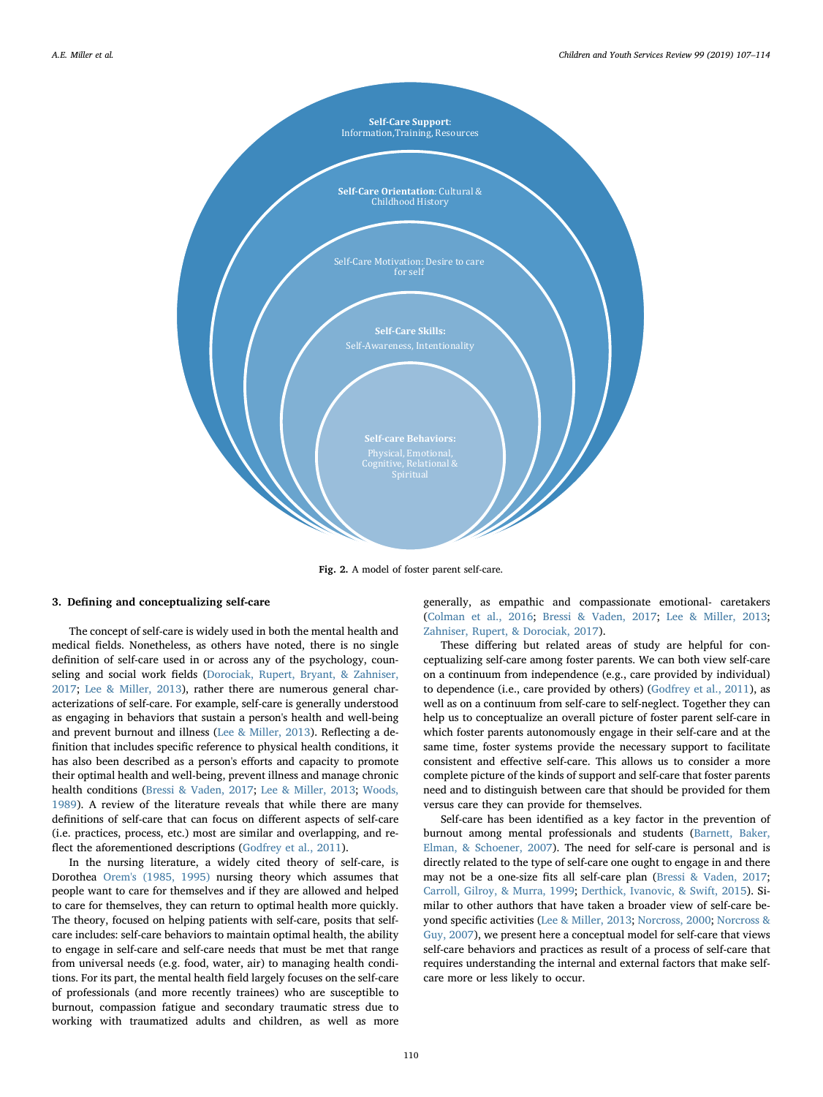<span id="page-3-0"></span>

Fig. 2. A model of foster parent self-care.

# 3. Defining and conceptualizing self-care

The concept of self-care is widely used in both the mental health and medical fields. Nonetheless, as others have noted, there is no single definition of self-care used in or across any of the psychology, counseling and social work fields ([Dorociak, Rupert, Bryant, & Zahniser,](#page-6-50) [2017;](#page-6-50) [Lee & Miller, 2013\)](#page-6-3), rather there are numerous general characterizations of self-care. For example, self-care is generally understood as engaging in behaviors that sustain a person's health and well-being and prevent burnout and illness [\(Lee & Miller, 2013\)](#page-6-3). Reflecting a definition that includes specific reference to physical health conditions, it has also been described as a person's efforts and capacity to promote their optimal health and well-being, prevent illness and manage chronic health conditions ([Bressi & Vaden, 2017;](#page-5-7) [Lee & Miller, 2013](#page-6-3); [Woods,](#page-7-16) [1989\)](#page-7-16). A review of the literature reveals that while there are many definitions of self-care that can focus on different aspects of self-care (i.e. practices, process, etc.) most are similar and overlapping, and reflect the aforementioned descriptions ([Godfrey et al., 2011](#page-6-51)).

In the nursing literature, a widely cited theory of self-care, is Dorothea [Orem's \(1985, 1995\)](#page-6-52) nursing theory which assumes that people want to care for themselves and if they are allowed and helped to care for themselves, they can return to optimal health more quickly. The theory, focused on helping patients with self-care, posits that selfcare includes: self-care behaviors to maintain optimal health, the ability to engage in self-care and self-care needs that must be met that range from universal needs (e.g. food, water, air) to managing health conditions. For its part, the mental health field largely focuses on the self-care of professionals (and more recently trainees) who are susceptible to burnout, compassion fatigue and secondary traumatic stress due to working with traumatized adults and children, as well as more generally, as empathic and compassionate emotional- caretakers ([Colman et al., 2016](#page-6-53); [Bressi & Vaden, 2017;](#page-5-7) [Lee & Miller, 2013](#page-6-3); [Zahniser, Rupert, & Dorociak, 2017](#page-7-17)).

These differing but related areas of study are helpful for conceptualizing self-care among foster parents. We can both view self-care on a continuum from independence (e.g., care provided by individual) to dependence (i.e., care provided by others) ([Godfrey et al., 2011\)](#page-6-51), as well as on a continuum from self-care to self-neglect. Together they can help us to conceptualize an overall picture of foster parent self-care in which foster parents autonomously engage in their self-care and at the same time, foster systems provide the necessary support to facilitate consistent and effective self-care. This allows us to consider a more complete picture of the kinds of support and self-care that foster parents need and to distinguish between care that should be provided for them versus care they can provide for themselves.

Self-care has been identified as a key factor in the prevention of burnout among mental professionals and students [\(Barnett, Baker,](#page-5-8) [Elman, & Schoener, 2007\)](#page-5-8). The need for self-care is personal and is directly related to the type of self-care one ought to engage in and there may not be a one-size fits all self-care plan [\(Bressi & Vaden, 2017](#page-5-7); [Carroll, Gilroy, & Murra, 1999;](#page-6-54) [Derthick, Ivanovic, & Swift, 2015\)](#page-6-55). Similar to other authors that have taken a broader view of self-care beyond specific activities ([Lee & Miller, 2013](#page-6-3); [Norcross, 2000;](#page-6-56) [Norcross &](#page-6-57) [Guy, 2007](#page-6-57)), we present here a conceptual model for self-care that views self-care behaviors and practices as result of a process of self-care that requires understanding the internal and external factors that make selfcare more or less likely to occur.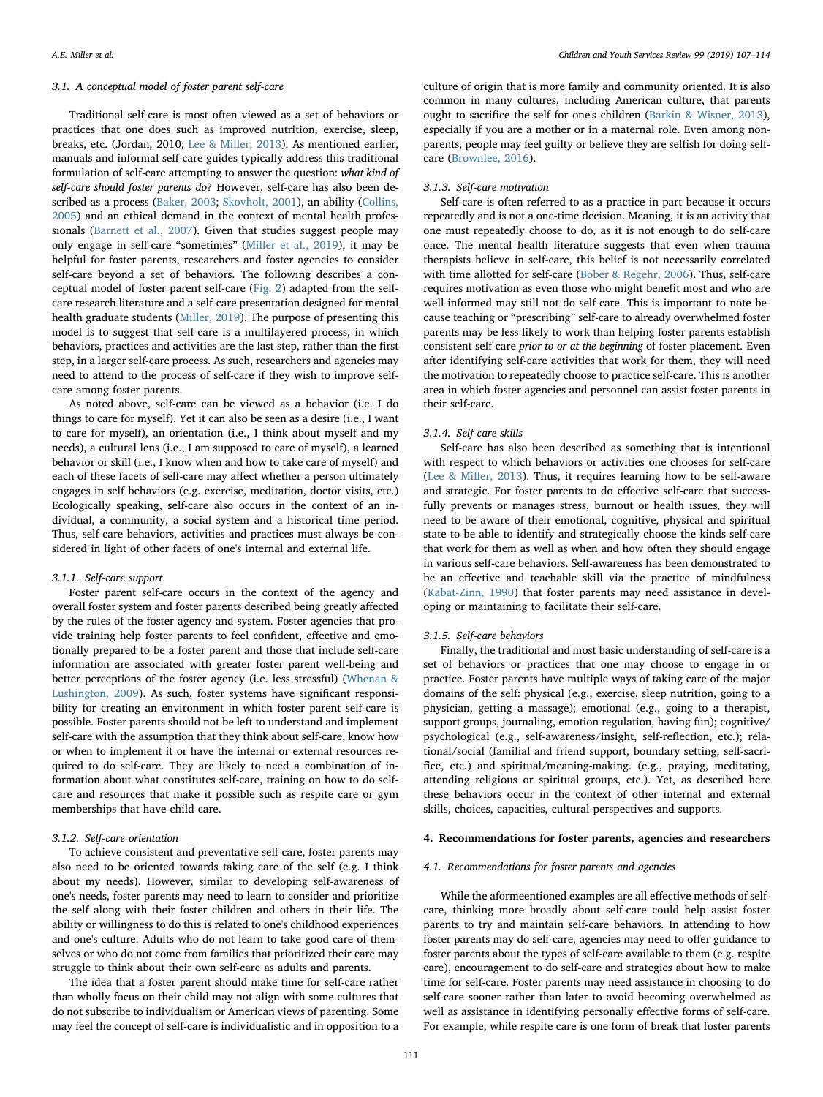### 3.1. A conceptual model of foster parent self-care

Traditional self-care is most often viewed as a set of behaviors or practices that one does such as improved nutrition, exercise, sleep, breaks, etc. (Jordan, 2010; [Lee & Miller, 2013\)](#page-6-3). As mentioned earlier, manuals and informal self-care guides typically address this traditional formulation of self-care attempting to answer the question: what kind of self-care should foster parents do? However, self-care has also been described as a process [\(Baker, 2003](#page-5-9); [Skovholt, 2001](#page-7-18)), an ability [\(Collins,](#page-6-58) [2005\)](#page-6-58) and an ethical demand in the context of mental health professionals [\(Barnett et al., 2007\)](#page-5-8). Given that studies suggest people may only engage in self-care "sometimes" [\(Miller et al., 2019\)](#page-6-2), it may be helpful for foster parents, researchers and foster agencies to consider self-care beyond a set of behaviors. The following describes a conceptual model of foster parent self-care ([Fig. 2\)](#page-3-0) adapted from the selfcare research literature and a self-care presentation designed for mental health graduate students [\(Miller, 2019\)](#page-6-59). The purpose of presenting this model is to suggest that self-care is a multilayered process, in which behaviors, practices and activities are the last step, rather than the first step, in a larger self-care process. As such, researchers and agencies may need to attend to the process of self-care if they wish to improve selfcare among foster parents.

As noted above, self-care can be viewed as a behavior (i.e. I do things to care for myself). Yet it can also be seen as a desire (i.e., I want to care for myself), an orientation (i.e., I think about myself and my needs), a cultural lens (i.e., I am supposed to care of myself), a learned behavior or skill (i.e., I know when and how to take care of myself) and each of these facets of self-care may affect whether a person ultimately engages in self behaviors (e.g. exercise, meditation, doctor visits, etc.) Ecologically speaking, self-care also occurs in the context of an individual, a community, a social system and a historical time period. Thus, self-care behaviors, activities and practices must always be considered in light of other facets of one's internal and external life.

#### 3.1.1. Self-care support

Foster parent self-care occurs in the context of the agency and overall foster system and foster parents described being greatly affected by the rules of the foster agency and system. Foster agencies that provide training help foster parents to feel confident, effective and emotionally prepared to be a foster parent and those that include self-care information are associated with greater foster parent well-being and better perceptions of the foster agency (i.e. less stressful) ([Whenan &](#page-7-0) [Lushington, 2009](#page-7-0)). As such, foster systems have significant responsibility for creating an environment in which foster parent self-care is possible. Foster parents should not be left to understand and implement self-care with the assumption that they think about self-care, know how or when to implement it or have the internal or external resources required to do self-care. They are likely to need a combination of information about what constitutes self-care, training on how to do selfcare and resources that make it possible such as respite care or gym memberships that have child care.

# 3.1.2. Self-care orientation

To achieve consistent and preventative self-care, foster parents may also need to be oriented towards taking care of the self (e.g. I think about my needs). However, similar to developing self-awareness of one's needs, foster parents may need to learn to consider and prioritize the self along with their foster children and others in their life. The ability or willingness to do this is related to one's childhood experiences and one's culture. Adults who do not learn to take good care of themselves or who do not come from families that prioritized their care may struggle to think about their own self-care as adults and parents.

The idea that a foster parent should make time for self-care rather than wholly focus on their child may not align with some cultures that do not subscribe to individualism or American views of parenting. Some may feel the concept of self-care is individualistic and in opposition to a

culture of origin that is more family and community oriented. It is also common in many cultures, including American culture, that parents ought to sacrifice the self for one's children ([Barkin & Wisner, 2013](#page-5-6)), especially if you are a mother or in a maternal role. Even among nonparents, people may feel guilty or believe they are selfish for doing selfcare [\(Brownlee, 2016](#page-6-60)).

# 3.1.3. Self-care motivation

Self-care is often referred to as a practice in part because it occurs repeatedly and is not a one-time decision. Meaning, it is an activity that one must repeatedly choose to do, as it is not enough to do self-care once. The mental health literature suggests that even when trauma therapists believe in self-care, this belief is not necessarily correlated with time allotted for self-care [\(Bober & Regehr, 2006\)](#page-5-10). Thus, self-care requires motivation as even those who might benefit most and who are well-informed may still not do self-care. This is important to note because teaching or "prescribing" self-care to already overwhelmed foster parents may be less likely to work than helping foster parents establish consistent self-care prior to or at the beginning of foster placement. Even after identifying self-care activities that work for them, they will need the motivation to repeatedly choose to practice self-care. This is another area in which foster agencies and personnel can assist foster parents in their self-care.

### 3.1.4. Self-care skills

Self-care has also been described as something that is intentional with respect to which behaviors or activities one chooses for self-care ([Lee & Miller, 2013](#page-6-3)). Thus, it requires learning how to be self-aware and strategic. For foster parents to do effective self-care that successfully prevents or manages stress, burnout or health issues, they will need to be aware of their emotional, cognitive, physical and spiritual state to be able to identify and strategically choose the kinds self-care that work for them as well as when and how often they should engage in various self-care behaviors. Self-awareness has been demonstrated to be an effective and teachable skill via the practice of mindfulness ([Kabat-Zinn, 1990](#page-6-61)) that foster parents may need assistance in developing or maintaining to facilitate their self-care.

## 3.1.5. Self-care behaviors

Finally, the traditional and most basic understanding of self-care is a set of behaviors or practices that one may choose to engage in or practice. Foster parents have multiple ways of taking care of the major domains of the self: physical (e.g., exercise, sleep nutrition, going to a physician, getting a massage); emotional (e.g., going to a therapist, support groups, journaling, emotion regulation, having fun); cognitive/ psychological (e.g., self-awareness/insight, self-reflection, etc.); relational/social (familial and friend support, boundary setting, self-sacrifice, etc.) and spiritual/meaning-making. (e.g., praying, meditating, attending religious or spiritual groups, etc.). Yet, as described here these behaviors occur in the context of other internal and external skills, choices, capacities, cultural perspectives and supports.

## 4. Recommendations for foster parents, agencies and researchers

# 4.1. Recommendations for foster parents and agencies

While the aformeentioned examples are all effective methods of selfcare, thinking more broadly about self-care could help assist foster parents to try and maintain self-care behaviors. In attending to how foster parents may do self-care, agencies may need to offer guidance to foster parents about the types of self-care available to them (e.g. respite care), encouragement to do self-care and strategies about how to make time for self-care. Foster parents may need assistance in choosing to do self-care sooner rather than later to avoid becoming overwhelmed as well as assistance in identifying personally effective forms of self-care. For example, while respite care is one form of break that foster parents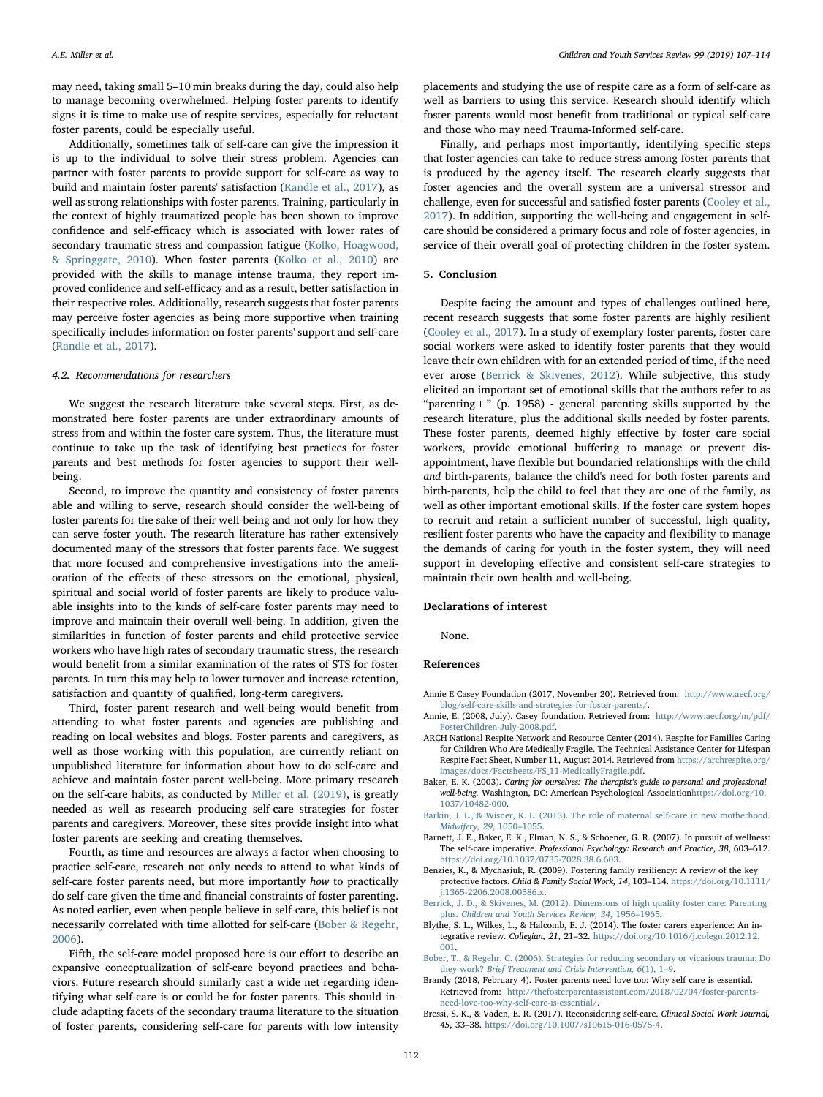may need, taking small 5–10 min breaks during the day, could also help to manage becoming overwhelmed. Helping foster parents to identify signs it is time to make use of respite services, especially for reluctant foster parents, could be especially useful.

Additionally, sometimes talk of self-care can give the impression it is up to the individual to solve their stress problem. Agencies can partner with foster parents to provide support for self-care as way to build and maintain foster parents' satisfaction ([Randle et al., 2017\)](#page-6-27), as well as strong relationships with foster parents. Training, particularly in the context of highly traumatized people has been shown to improve confidence and self-efficacy which is associated with lower rates of secondary traumatic stress and compassion fatigue [\(Kolko, Hoagwood,](#page-6-62) [& Springgate, 2010\)](#page-6-62). When foster parents [\(Kolko et al., 2010](#page-6-62)) are provided with the skills to manage intense trauma, they report improved confidence and self-efficacy and as a result, better satisfaction in their respective roles. Additionally, research suggests that foster parents may perceive foster agencies as being more supportive when training specifically includes information on foster parents' support and self-care ([Randle et al., 2017\)](#page-6-27).

#### 4.2. Recommendations for researchers

We suggest the research literature take several steps. First, as demonstrated here foster parents are under extraordinary amounts of stress from and within the foster care system. Thus, the literature must continue to take up the task of identifying best practices for foster parents and best methods for foster agencies to support their wellbeing.

Second, to improve the quantity and consistency of foster parents able and willing to serve, research should consider the well-being of foster parents for the sake of their well-being and not only for how they can serve foster youth. The research literature has rather extensively documented many of the stressors that foster parents face. We suggest that more focused and comprehensive investigations into the amelioration of the effects of these stressors on the emotional, physical, spiritual and social world of foster parents are likely to produce valuable insights into to the kinds of self-care foster parents may need to improve and maintain their overall well-being. In addition, given the similarities in function of foster parents and child protective service workers who have high rates of secondary traumatic stress, the research would benefit from a similar examination of the rates of STS for foster parents. In turn this may help to lower turnover and increase retention, satisfaction and quantity of qualified, long-term caregivers.

Third, foster parent research and well-being would benefit from attending to what foster parents and agencies are publishing and reading on local websites and blogs. Foster parents and caregivers, as well as those working with this population, are currently reliant on unpublished literature for information about how to do self-care and achieve and maintain foster parent well-being. More primary research on the self-care habits, as conducted by [Miller et al. \(2019\),](#page-6-2) is greatly needed as well as research producing self-care strategies for foster parents and caregivers. Moreover, these sites provide insight into what foster parents are seeking and creating themselves.

Fourth, as time and resources are always a factor when choosing to practice self-care, research not only needs to attend to what kinds of self-care foster parents need, but more importantly how to practically do self-care given the time and financial constraints of foster parenting. As noted earlier, even when people believe in self-care, this belief is not necessarily correlated with time allotted for self-care [\(Bober & Regehr,](#page-5-10) [2006\)](#page-5-10).

Fifth, the self-care model proposed here is our effort to describe an expansive conceptualization of self-care beyond practices and behaviors. Future research should similarly cast a wide net regarding identifying what self-care is or could be for foster parents. This should include adapting facets of the secondary trauma literature to the situation of foster parents, considering self-care for parents with low intensity

placements and studying the use of respite care as a form of self-care as well as barriers to using this service. Research should identify which foster parents would most benefit from traditional or typical self-care and those who may need Trauma-Informed self-care.

Finally, and perhaps most importantly, identifying specific steps that foster agencies can take to reduce stress among foster parents that is produced by the agency itself. The research clearly suggests that foster agencies and the overall system are a universal stressor and challenge, even for successful and satisfied foster parents ([Cooley et al.,](#page-6-0) [2017\)](#page-6-0). In addition, supporting the well-being and engagement in selfcare should be considered a primary focus and role of foster agencies, in service of their overall goal of protecting children in the foster system.

## 5. Conclusion

Despite facing the amount and types of challenges outlined here, recent research suggests that some foster parents are highly resilient ([Cooley et al., 2017\)](#page-6-0). In a study of exemplary foster parents, foster care social workers were asked to identify foster parents that they would leave their own children with for an extended period of time, if the need ever arose ([Berrick & Skivenes, 2012\)](#page-5-11). While subjective, this study elicited an important set of emotional skills that the authors refer to as "parenting +" (p. 1958) - general parenting skills supported by the research literature, plus the additional skills needed by foster parents. These foster parents, deemed highly effective by foster care social workers, provide emotional buffering to manage or prevent disappointment, have flexible but boundaried relationships with the child and birth-parents, balance the child's need for both foster parents and birth-parents, help the child to feel that they are one of the family, as well as other important emotional skills. If the foster care system hopes to recruit and retain a sufficient number of successful, high quality, resilient foster parents who have the capacity and flexibility to manage the demands of caring for youth in the foster system, they will need support in developing effective and consistent self-care strategies to maintain their own health and well-being.

## Declarations of interest

None.

#### References

- <span id="page-5-4"></span>Annie E Casey Foundation (2017, November 20). Retrieved from: [http://www.aecf.org/](http://www.aecf.org/blog/self-care-skills-and-strategies-for-foster-parents/) [blog/self-care-skills-and-strategies-for-foster-parents/.](http://www.aecf.org/blog/self-care-skills-and-strategies-for-foster-parents/)
- <span id="page-5-1"></span>Annie, E. (2008, July). Casey foundation. Retrieved from: [http://www.aecf.org/m/pdf/](http://www.aecf.org/m/pdf/FosterChildren-July-2008.pdf) [FosterChildren-July-2008.pdf.](http://www.aecf.org/m/pdf/FosterChildren-July-2008.pdf)
- <span id="page-5-2"></span>ARCH National Respite Network and Resource Center (2014). Respite for Families Caring for Children Who Are Medically Fragile. The Technical Assistance Center for Lifespan Respite Fact Sheet, Number 11, August 2014. Retrieved from [https://archrespite.org/](https://archrespite.org/images/docs/Factsheets/FS_11-MedicallyFragile.pdf) [images/docs/Factsheets/FS\\_11-MedicallyFragile.pdf](https://archrespite.org/images/docs/Factsheets/FS_11-MedicallyFragile.pdf).
- <span id="page-5-9"></span>Baker, E. K. (2003). Caring for ourselves: The therapist's guide to personal and professional well-being. Washington, DC: American Psychological Association[https://doi.org/10.](https://doi.org/10.1037/10482-000) [1037/10482-000.](https://doi.org/10.1037/10482-000)
- <span id="page-5-6"></span>[Barkin, J. L., & Wisner, K. L. \(2013\). The role of maternal self-care in new motherhood.](http://refhub.elsevier.com/S0190-7409(18)30560-7/rf0025) [Midwifery, 29](http://refhub.elsevier.com/S0190-7409(18)30560-7/rf0025), 1050–1055.
- <span id="page-5-8"></span>Barnett, J. E., Baker, E. K., Elman, N. S., & Schoener, G. R. (2007). In pursuit of wellness: The self-care imperative. Professional Psychology: Research and Practice, 38, 603–612. [https://doi.org/10.1037/0735-7028.38.6.603.](https://doi.org/10.1037/0735-7028.38.6.603)
- <span id="page-5-3"></span>Benzies, K., & Mychasiuk, R. (2009). Fostering family resiliency: A review of the key protective factors. Child & Family Social Work, 14, 103–114. [https://doi.org/10.1111/](https://doi.org/10.1111/j.1365-2206.2008.00586.x) [j.1365-2206.2008.00586.x.](https://doi.org/10.1111/j.1365-2206.2008.00586.x)
- <span id="page-5-11"></span>[Berrick, J. D., & Skivenes, M. \(2012\). Dimensions of high quality foster care: Parenting](http://refhub.elsevier.com/S0190-7409(18)30560-7/rf0040) plus. [Children and Youth Services Review, 34](http://refhub.elsevier.com/S0190-7409(18)30560-7/rf0040), 1956–1965.
- <span id="page-5-0"></span>Blythe, S. L., Wilkes, L., & Halcomb, E. J. (2014). The foster carers experience: An integrative review. Collegian, 21, 21–32. [https://doi.org/10.1016/j.colegn.2012.12.](https://doi.org/10.1016/j.colegn.2012.12.001) [001](https://doi.org/10.1016/j.colegn.2012.12.001).
- <span id="page-5-10"></span>[Bober, T., & Regehr, C. \(2006\). Strategies for reducing secondary or vicarious trauma: Do](http://refhub.elsevier.com/S0190-7409(18)30560-7/rf0050) they work? [Brief Treatment and Crisis Intervention, 6](http://refhub.elsevier.com/S0190-7409(18)30560-7/rf0050)(1), 1–9.
- <span id="page-5-5"></span>Brandy (2018, February 4). Foster parents need love too: Why self care is essential. Retrieved from: [http://thefosterparentassistant.com/2018/02/04/foster-parents](http://thefosterparentassistant.com/2018/02/04/foster-parents-need-love-too-why-self-care-is-essential/)[need-love-too-why-self-care-is-essential/.](http://thefosterparentassistant.com/2018/02/04/foster-parents-need-love-too-why-self-care-is-essential/)
- <span id="page-5-7"></span>Bressi, S. K., & Vaden, E. R. (2017). Reconsidering self-care. Clinical Social Work Journal, 45, 33–38. <https://doi.org/10.1007/s10615-016-0575-4>.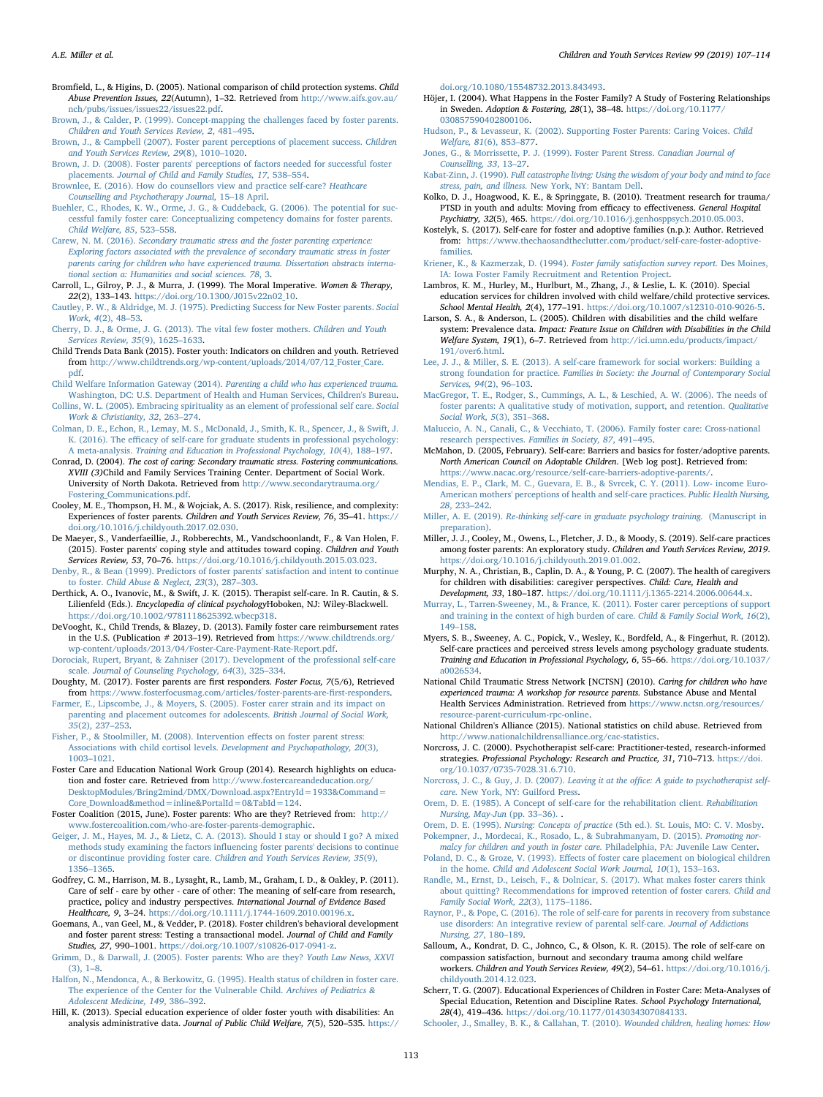- <span id="page-6-25"></span>Bromfield, L., & Higins, D. (2005). National comparison of child protection systems. Child Abuse Prevention Issues, 22(Autumn), 1–32. Retrieved from [http://www.aifs.gov.au/](http://www.aifs.gov.au/nch/pubs/issues/issues22/issues22.pdf) [nch/pubs/issues/issues22/issues22.pdf.](http://www.aifs.gov.au/nch/pubs/issues/issues22/issues22.pdf)
- <span id="page-6-29"></span>[Brown, J., & Calder, P. \(1999\). Concept-mapping the challenges faced by foster parents.](http://refhub.elsevier.com/S0190-7409(18)30560-7/rf0070) [Children and Youth Services Review, 2](http://refhub.elsevier.com/S0190-7409(18)30560-7/rf0070), 481–495.
- <span id="page-6-30"></span>[Brown, J., & Campbell \(2007\). Foster parent perceptions of placement success.](http://refhub.elsevier.com/S0190-7409(18)30560-7/rf0080) Children [and Youth Services Review, 29](http://refhub.elsevier.com/S0190-7409(18)30560-7/rf0080)(8), 1010–1020.
- <span id="page-6-28"></span>[Brown, J. D. \(2008\). Foster parents' perceptions of factors needed for successful foster](http://refhub.elsevier.com/S0190-7409(18)30560-7/rf0085) placements. [Journal of Child and Family Studies, 17](http://refhub.elsevier.com/S0190-7409(18)30560-7/rf0085), 538–554.
- <span id="page-6-60"></span>[Brownlee, E. \(2016\). How do counsellors view and practice self-care?](http://refhub.elsevier.com/S0190-7409(18)30560-7/rf0090) Heathcare [Counselling and Psychotherapy Journal,](http://refhub.elsevier.com/S0190-7409(18)30560-7/rf0090) 15–18 April.
- <span id="page-6-7"></span>[Buehler, C., Rhodes, K. W., Orme, J. G., & Cuddeback, G. \(2006\). The potential for suc](http://refhub.elsevier.com/S0190-7409(18)30560-7/rf0100)[cessful family foster care: Conceptualizing competency domains for foster parents.](http://refhub.elsevier.com/S0190-7409(18)30560-7/rf0100) [Child Welfare, 85](http://refhub.elsevier.com/S0190-7409(18)30560-7/rf0100), 523–558.
- <span id="page-6-18"></span>Carew, N. M. (2016). [Secondary traumatic stress and the foster parenting experience:](http://refhub.elsevier.com/S0190-7409(18)30560-7/rf0105) [Exploring factors associated with the prevalence of secondary traumatic stress in foster](http://refhub.elsevier.com/S0190-7409(18)30560-7/rf0105) [parents caring for children who have experienced trauma. Dissertation abstracts interna](http://refhub.elsevier.com/S0190-7409(18)30560-7/rf0105)[tional section a: Humanities and social sciences. 78](http://refhub.elsevier.com/S0190-7409(18)30560-7/rf0105), 3.
- <span id="page-6-54"></span>Carroll, L., Gilroy, P. J., & Murra, J. (1999). The Moral Imperative. Women & Therapy, 22(2), 133–143. [https://doi.org/10.1300/J015v22n02\\_10.](https://doi.org/10.1300/J015v22n02_10)
- <span id="page-6-20"></span>[Cautley, P. W., & Aldridge, M. J. \(1975\). Predicting Success for New Foster parents.](http://refhub.elsevier.com/S0190-7409(18)30560-7/rf0120) Social [Work, 4](http://refhub.elsevier.com/S0190-7409(18)30560-7/rf0120)(2), 48–53.
- <span id="page-6-8"></span>[Cherry, D. J., & Orme, J. G. \(2013\). The vital few foster mothers.](http://refhub.elsevier.com/S0190-7409(18)30560-7/rf0125) Children and Youth [Services Review, 35](http://refhub.elsevier.com/S0190-7409(18)30560-7/rf0125)(9), 1625–1633.
- <span id="page-6-11"></span>Child Trends Data Bank (2015). Foster youth: Indicators on children and youth. Retrieved from [http://www.childtrends.org/wp-content/uploads/2014/07/12\\_Foster\\_Care.](http://www.childtrends.org/wp-content/uploads/2014/07/12_Foster_Care.pdf) [pdf.](http://www.childtrends.org/wp-content/uploads/2014/07/12_Foster_Care.pdf)
- <span id="page-6-33"></span>Child Welfare Information Gateway (2014). [Parenting a child who has experienced trauma.](http://refhub.elsevier.com/S0190-7409(18)30560-7/rf0135) [Washington, DC: U.S. Department of Health and Human Services, Children's Bureau.](http://refhub.elsevier.com/S0190-7409(18)30560-7/rf0135) [Collins, W. L. \(2005\). Embracing spirituality as an element of professional self care.](http://refhub.elsevier.com/S0190-7409(18)30560-7/rf0140) Social
- <span id="page-6-58"></span><span id="page-6-53"></span>[Work & Christianity, 32](http://refhub.elsevier.com/S0190-7409(18)30560-7/rf0140), 263–274. [Colman, D. E., Echon, R., Lemay, M. S., McDonald, J., Smith, K. R., Spencer, J., & Swift, J.](http://refhub.elsevier.com/S0190-7409(18)30560-7/rf0145)
- K. (2016). The effi[cacy of self-care for graduate students in professional psychology:](http://refhub.elsevier.com/S0190-7409(18)30560-7/rf0145) A meta-analysis. [Training and Education in Professional Psychology, 10](http://refhub.elsevier.com/S0190-7409(18)30560-7/rf0145)(4), 188–197.
- <span id="page-6-45"></span>Conrad, D. (2004). The cost of caring: Secondary traumatic stress. Fostering communications. XVIII (3)Child and Family Services Training Center. Department of Social Work. University of North Dakota. Retrieved from [http://www.secondarytrauma.org/](http://www.secondarytrauma.org/Fostering_Communications.pdf) [Fostering\\_Communications.pdf](http://www.secondarytrauma.org/Fostering_Communications.pdf).
- <span id="page-6-0"></span>Cooley, M. E., Thompson, H. M., & Wojciak, A. S. (2017). Risk, resilience, and complexity: Experiences of foster parents. Children and Youth Services Review, 76, 35–41. [https://](https://doi.org/10.1016/j.childyouth.2017.02.030) [doi.org/10.1016/j.childyouth.2017.02.030.](https://doi.org/10.1016/j.childyouth.2017.02.030)
- <span id="page-6-1"></span>De Maeyer, S., Vanderfaeillie, J., Robberechts, M., Vandschoonlandt, F., & Van Holen, F. (2015). Foster parents' coping style and attitudes toward coping. Children and Youth Services Review, 53, 70–76. <https://doi.org/10.1016/j.childyouth.2015.03.023>.
- <span id="page-6-31"></span>[Denby, R., & Bean \(1999\). Predictors of foster parents' satisfaction and intent to continue](http://refhub.elsevier.com/S0190-7409(18)30560-7/rf0165) to foster. [Child Abuse & Neglect, 23](http://refhub.elsevier.com/S0190-7409(18)30560-7/rf0165)(3), 287–303.
- <span id="page-6-55"></span>Derthick, A. O., Ivanovic, M., & Swift, J. K. (2015). Therapist self-care. In R. Cautin, & S. Lilienfeld (Eds.). Encyclopedia of clinical psychologyHoboken, NJ: Wiley-Blackwell. [https://doi.org/10.1002/9781118625392.wbecp318.](https://doi.org/10.1002/9781118625392.wbecp318)
- <span id="page-6-19"></span>DeVooght, K., Child Trends, & Blazey, D. (2013). Family foster care reimbursement rates in the U.S. (Publication # 2013–19). Retrieved from [https://www.childtrends.org/](https://www.childtrends.org/wp-content/uploads/2013/04/Foster-Care-Payment-Rate-Report.pdf) [wp-content/uploads/2013/04/Foster-Care-Payment-Rate-Report.pdf.](https://www.childtrends.org/wp-content/uploads/2013/04/Foster-Care-Payment-Rate-Report.pdf)
- <span id="page-6-50"></span>[Dorociak, Rupert, Bryant, & Zahniser \(2017\). Development of the professional self-care](http://refhub.elsevier.com/S0190-7409(18)30560-7/rf0180) scale. [Journal of Counseling Psychology, 64](http://refhub.elsevier.com/S0190-7409(18)30560-7/rf0180)(3), 325–334.
- <span id="page-6-17"></span>Doughty, M. (2017). Foster parents are first responders. Foster Focus, 7(5/6), Retrieved from [https://www.fosterfocusmag.com/articles/foster-parents-are-](https://www.fosterfocusmag.com/articles/foster-parents-are-first-responders)first-responders.
- <span id="page-6-34"></span>[Farmer, E., Lipscombe, J., & Moyers, S. \(2005\). Foster carer strain and its impact on](http://refhub.elsevier.com/S0190-7409(18)30560-7/rf0190) [parenting and placement outcomes for adolescents.](http://refhub.elsevier.com/S0190-7409(18)30560-7/rf0190) British Journal of Social Work, 35[\(2\), 237](http://refhub.elsevier.com/S0190-7409(18)30560-7/rf0190)–253.
- <span id="page-6-43"></span>[Fisher, P., & Stoolmiller, M. \(2008\). Intervention e](http://refhub.elsevier.com/S0190-7409(18)30560-7/rf0195)ffects on foster parent stress: [Associations with child cortisol levels.](http://refhub.elsevier.com/S0190-7409(18)30560-7/rf0195) Development and Psychopathology, 20(3), 1003–[1021](http://refhub.elsevier.com/S0190-7409(18)30560-7/rf0195).
- <span id="page-6-12"></span>Foster Care and Education National Work Group (2014). Research highlights on education and foster care. Retrieved from [http://www.fostercareandeducation.org/](http://www.fostercareandeducation.org/DesktopModules/Bring2mind/DMX/Download.aspx?EntryId=1933&Command=Core_Download&method=inline&PortalId=0&TabId=124) [DesktopModules/Bring2mind/DMX/Download.aspx?EntryId=1933&Command=](http://www.fostercareandeducation.org/DesktopModules/Bring2mind/DMX/Download.aspx?EntryId=1933&Command=Core_Download&method=inline&PortalId=0&TabId=124) [Core\\_Download&method=inline&PortalId=0&TabId=124.](http://www.fostercareandeducation.org/DesktopModules/Bring2mind/DMX/Download.aspx?EntryId=1933&Command=Core_Download&method=inline&PortalId=0&TabId=124)
- <span id="page-6-5"></span>Foster Coalition (2015, June). Foster parents: Who are they? Retrieved from: [http://](http://www.fostercoalition.com/who-are-foster-parents-demographic) [www.fostercoalition.com/who-are-foster-parents-demographic](http://www.fostercoalition.com/who-are-foster-parents-demographic).
- <span id="page-6-39"></span>[Geiger, J. M., Hayes, M. J., & Lietz, C. A. \(2013\). Should I stay or should I go? A mixed](http://refhub.elsevier.com/S0190-7409(18)30560-7/rf0215) methods study examining the factors infl[uencing foster parents' decisions to continue](http://refhub.elsevier.com/S0190-7409(18)30560-7/rf0215) or discontinue providing foster care. [Children and Youth Services Review, 35](http://refhub.elsevier.com/S0190-7409(18)30560-7/rf0215)(9), 1356–[1365](http://refhub.elsevier.com/S0190-7409(18)30560-7/rf0215).
- <span id="page-6-51"></span>Godfrey, C. M., Harrison, M. B., Lysaght, R., Lamb, M., Graham, I. D., & Oakley, P. (2011). Care of self - care by other - care of other: The meaning of self-care from research, practice, policy and industry perspectives. International Journal of Evidence Based Healthcare, 9, 3–24. [https://doi.org/10.1111/j.1744-1609.2010.00196.x.](https://doi.org/10.1111/j.1744-1609.2010.00196.x)
- <span id="page-6-36"></span>Goemans, A., van Geel, M., & Vedder, P. (2018). Foster children's behavioral development and foster parent stress: Testing a transactional model. Journal of Child and Family Studies, 27, 990–1001. [https://doi.org/10.1007/s10826-017-0941-z.](https://doi.org/10.1007/s10826-017-0941-z)
- <span id="page-6-6"></span>[Grimm, D., & Darwall, J. \(2005\). Foster parents: Who are they?](http://refhub.elsevier.com/S0190-7409(18)30560-7/rf0230) Youth Law News, XXVI [\(3\), 1](http://refhub.elsevier.com/S0190-7409(18)30560-7/rf0230)–8.
- <span id="page-6-10"></span>[Halfon, N., Mendonca, A., & Berkowitz, G. \(1995\). Health status of children in foster care.](http://refhub.elsevier.com/S0190-7409(18)30560-7/rf0235) [The experience of the Center for the Vulnerable Child.](http://refhub.elsevier.com/S0190-7409(18)30560-7/rf0235) Archives of Pediatrics & [Adolescent Medicine, 149](http://refhub.elsevier.com/S0190-7409(18)30560-7/rf0235), 386–392.
- <span id="page-6-13"></span>Hill, K. (2013). Special education experience of older foster youth with disabilities: An analysis administrative data. Journal of Public Child Welfare, 7(5), 520–535. [https://](https://doi.org/10.1080/15548732.2013.843493)

[doi.org/10.1080/15548732.2013.843493](https://doi.org/10.1080/15548732.2013.843493).

- <span id="page-6-22"></span>Höjer, I. (2004). What Happens in the Foster Family? A Study of Fostering Relationships in Sweden. Adoption & Fostering, 28(1), 38–48. [https://doi.org/10.1177/](https://doi.org/10.1177/030857590402800106) [030857590402800106](https://doi.org/10.1177/030857590402800106).
- <span id="page-6-32"></span>[Hudson, P., & Levasseur, K. \(2002\). Supporting Foster Parents: Caring Voices.](http://refhub.elsevier.com/S0190-7409(18)30560-7/rf0250) Child [Welfare, 81](http://refhub.elsevier.com/S0190-7409(18)30560-7/rf0250)(6), 853–877.
- <span id="page-6-24"></span>[Jones, G., & Morrissette, P. J. \(1999\). Foster Parent Stress.](http://refhub.elsevier.com/S0190-7409(18)30560-7/rf0255) Canadian Journal of [Counselling, 33](http://refhub.elsevier.com/S0190-7409(18)30560-7/rf0255), 13–27.
- <span id="page-6-61"></span>Kabat-Zinn, J. (1990). [Full catastrophe living: Using the wisdom of your body and mind to face](http://refhub.elsevier.com/S0190-7409(18)30560-7/rf0260) stress, pain, and illness. [New York, NY: Bantam Dell.](http://refhub.elsevier.com/S0190-7409(18)30560-7/rf0260)
- <span id="page-6-62"></span>Kolko, D. J., Hoagwood, K. E., & Springgate, B. (2010). Treatment research for trauma/ PTSD in youth and adults: Moving from efficacy to effectiveness. General Hospital Psychiatry, 32(5), 465. [https://doi.org/10.1016/j.genhosppsych.2010.05.003.](https://doi.org/10.1016/j.genhosppsych.2010.05.003)
- <span id="page-6-47"></span>Kostelyk, S. (2017). Self-care for foster and adoptive families (n.p.): Author. Retrieved from: [https://www.thechaosandtheclutter.com/product/self-care-foster-adoptive](https://www.thechaosandtheclutter.com/product/self-care-foster-adoptive-families)[families.](https://www.thechaosandtheclutter.com/product/self-care-foster-adoptive-families)
- <span id="page-6-21"></span>Kriener, K., & Kazmerzak, D. (1994). [Foster family satisfaction survey report.](http://refhub.elsevier.com/S0190-7409(18)30560-7/rf0275) Des Moines, [IA: Iowa Foster Family Recruitment and Retention Project](http://refhub.elsevier.com/S0190-7409(18)30560-7/rf0275).
- <span id="page-6-14"></span>Lambros, K. M., Hurley, M., Hurlburt, M., Zhang, J., & Leslie, L. K. (2010). Special education services for children involved with child welfare/child protective services. School Mental Health, 2(4), 177–191. <https://doi.org/10.1007/s12310-010-9026-5>.
- <span id="page-6-15"></span>Larson, S. A., & Anderson, L. (2005). Children with disabilities and the child welfare system: Prevalence data. Impact: Feature Issue on Children with Disabilities in the Child Welfare System, 19(1), 6–7. Retrieved from [http://ici.umn.edu/products/impact/](http://ici.umn.edu/products/impact/191/over6.html) [191/over6.html](http://ici.umn.edu/products/impact/191/over6.html).
- <span id="page-6-3"></span>[Lee, J. J., & Miller, S. E. \(2013\). A self-care framework for social workers: Building a](http://refhub.elsevier.com/S0190-7409(18)30560-7/rf0290) strong foundation for practice. [Families in Society: the Journal of Contemporary Social](http://refhub.elsevier.com/S0190-7409(18)30560-7/rf0290) [Services, 94](http://refhub.elsevier.com/S0190-7409(18)30560-7/rf0290)(2), 96–103.
- <span id="page-6-40"></span>[MacGregor, T. E., Rodger, S., Cummings, A. L., & Leschied, A. W. \(2006\). The needs of](http://refhub.elsevier.com/S0190-7409(18)30560-7/rf0295) [foster parents: A qualitative study of motivation, support, and retention.](http://refhub.elsevier.com/S0190-7409(18)30560-7/rf0295) Qualitative [Social Work, 5](http://refhub.elsevier.com/S0190-7409(18)30560-7/rf0295)(3), 351–368.
- <span id="page-6-26"></span>[Maluccio, A. N., Canali, C., & Vecchiato, T. \(2006\). Family foster care: Cross-national](http://refhub.elsevier.com/S0190-7409(18)30560-7/rf0300) [research perspectives.](http://refhub.elsevier.com/S0190-7409(18)30560-7/rf0300) Families in Society, 87, 491–495.
- <span id="page-6-46"></span>McMahon, D. (2005, February). Self-care: Barriers and basics for foster/adoptive parents. North American Council on Adoptable Children. [Web log post]. Retrieved from: <https://www.nacac.org/resource/self-care-barriers-adoptive-parents/>.
- <span id="page-6-49"></span>[Mendias, E. P., Clark, M. C., Guevara, E. B., & Svrcek, C. Y. \(2011\). Low- income Euro-](http://refhub.elsevier.com/S0190-7409(18)30560-7/rf0310)[American mothers' perceptions of health and self-care practices.](http://refhub.elsevier.com/S0190-7409(18)30560-7/rf0310) Public Health Nursing, 28[, 233](http://refhub.elsevier.com/S0190-7409(18)30560-7/rf0310)–242.
- <span id="page-6-59"></span>Miller, A. E. (2019). [Re-thinking self-care in graduate psychology training.](http://refhub.elsevier.com/S0190-7409(18)30560-7/rf0315) (Manuscript in [preparation\).](http://refhub.elsevier.com/S0190-7409(18)30560-7/rf0315)
- <span id="page-6-2"></span>Miller, J. J., Cooley, M., Owens, L., Fletcher, J. D., & Moody, S. (2019). Self-care practices among foster parents: An exploratory study. Children and Youth Services Review, 2019. [https://doi.org/10.1016/j.childyouth.2019.01.002.](https://doi.org/10.1016/j.childyouth.2019.01.002)
- <span id="page-6-42"></span>Murphy, N. A., Christian, B., Caplin, D. A., & Young, P. C. (2007). The health of caregivers for children with disabilities: caregiver perspectives. Child: Care, Health and Development, 33, 180–187. <https://doi.org/10.1111/j.1365-2214.2006.00644.x>.
- <span id="page-6-41"></span>[Murray, L., Tarren-Sweeney, M., & France, K. \(2011\). Foster carer perceptions of support](http://refhub.elsevier.com/S0190-7409(18)30560-7/rf0335) [and training in the context of high burden of care.](http://refhub.elsevier.com/S0190-7409(18)30560-7/rf0335) Child & Family Social Work, 16(2), 149–[158](http://refhub.elsevier.com/S0190-7409(18)30560-7/rf0335).
- <span id="page-6-4"></span>Myers, S. B., Sweeney, A. C., Popick, V., Wesley, K., Bordfeld, A., & Fingerhut, R. (2012). Self-care practices and perceived stress levels among psychology graduate students. Training and Education in Professional Psychology, 6, 55–66. [https://doi.org/10.1037/](https://doi.org/10.1037/a0026534) [a0026534.](https://doi.org/10.1037/a0026534)
- <span id="page-6-38"></span>National Child Traumatic Stress Network [NCTSN] (2010). Caring for children who have experienced trauma: A workshop for resource parents. Substance Abuse and Mental Health Services Administration. Retrieved from [https://www.nctsn.org/resources/](https://www.nctsn.org/resources/resource-parent-curriculum-rpc-online) [resource-parent-curriculum-rpc-online.](https://www.nctsn.org/resources/resource-parent-curriculum-rpc-online)
- <span id="page-6-9"></span>National Children's Alliance (2015). National statistics on child abuse. Retrieved from <http://www.nationalchildrensalliance.org/cac-statistics>.
- <span id="page-6-56"></span>Norcross, J. C. (2000). Psychotherapist self-care: Practitioner-tested, research-informed strategies. Professional Psychology: Research and Practice, 31, 710–713. [https://doi.](https://doi.org/10.1037/0735-7028.31.6.710) [org/10.1037/0735-7028.31.6.710](https://doi.org/10.1037/0735-7028.31.6.710).
- <span id="page-6-57"></span>[Norcross, J. C., & Guy, J. D. \(2007\).](http://refhub.elsevier.com/S0190-7409(18)30560-7/rf0360) Leaving it at the office: A guide to psychotherapist selfcare. [New York, NY: Guilford Press](http://refhub.elsevier.com/S0190-7409(18)30560-7/rf0360).
- <span id="page-6-52"></span>[Orem, D. E. \(1985\). A Concept of self-care for the rehabilitation client.](http://refhub.elsevier.com/S0190-7409(18)30560-7/rf0365) Rehabilitation [Nursing, May-Jun](http://refhub.elsevier.com/S0190-7409(18)30560-7/rf0365) (pp. 33–36). .

<span id="page-6-37"></span>Orem, D. E. (1995). Nursing: Concepts of practice [\(5th ed.\). St. Louis, MO: C. V. Mosby](http://refhub.elsevier.com/S0190-7409(18)30560-7/rf0370). [Pokempner, J., Mordecai, K., Rosado, L., & Subrahmanyam, D. \(2015\).](http://refhub.elsevier.com/S0190-7409(18)30560-7/rf0375) Promoting nor-

- <span id="page-6-23"></span>[malcy for children and youth in foster care.](http://refhub.elsevier.com/S0190-7409(18)30560-7/rf0375) Philadelphia, PA: Juvenile Law Center. Poland, D. C., & Groze, V. (1993). Eff[ects of foster care placement on biological children](http://refhub.elsevier.com/S0190-7409(18)30560-7/rf0380)
- <span id="page-6-27"></span>in the home. [Child and Adolescent Social Work Journal, 10](http://refhub.elsevier.com/S0190-7409(18)30560-7/rf0380)(1), 153–163. [Randle, M., Ernst, D., Leisch, F., & Dolnicar, S. \(2017\). What makes foster carers think](http://refhub.elsevier.com/S0190-7409(18)30560-7/rf0385)
- [about quitting? Recommendations for improved retention of foster carers.](http://refhub.elsevier.com/S0190-7409(18)30560-7/rf0385) Child and [Family Social Work, 22](http://refhub.elsevier.com/S0190-7409(18)30560-7/rf0385)(3), 1175–1186.
- <span id="page-6-48"></span>[Raynor, P., & Pope, C. \(2016\). The role of self-care for parents in recovery from substance](http://refhub.elsevier.com/S0190-7409(18)30560-7/rf0390) [use disorders: An integrative review of parental self-care.](http://refhub.elsevier.com/S0190-7409(18)30560-7/rf0390) Journal of Addictions [Nursing, 27](http://refhub.elsevier.com/S0190-7409(18)30560-7/rf0390), 180–189.
- <span id="page-6-44"></span>Salloum, A., Kondrat, D. C., Johnco, C., & Olson, K. R. (2015). The role of self-care on compassion satisfaction, burnout and secondary trauma among child welfare workers. Children and Youth Services Review, 49(2), 54–61. [https://doi.org/10.1016/j.](https://doi.org/10.1016/j.childyouth.2014.12.023) [childyouth.2014.12.023.](https://doi.org/10.1016/j.childyouth.2014.12.023)
- <span id="page-6-16"></span>Scherr, T. G. (2007). Educational Experiences of Children in Foster Care: Meta-Analyses of Special Education, Retention and Discipline Rates. School Psychology International, 28(4), 419–436. [https://doi.org/10.1177/0143034307084133.](https://doi.org/10.1177/0143034307084133)
- <span id="page-6-35"></span>[Schooler, J., Smalley, B. K., & Callahan, T. \(2010\).](http://refhub.elsevier.com/S0190-7409(18)30560-7/rf0405) Wounded children, healing homes: How